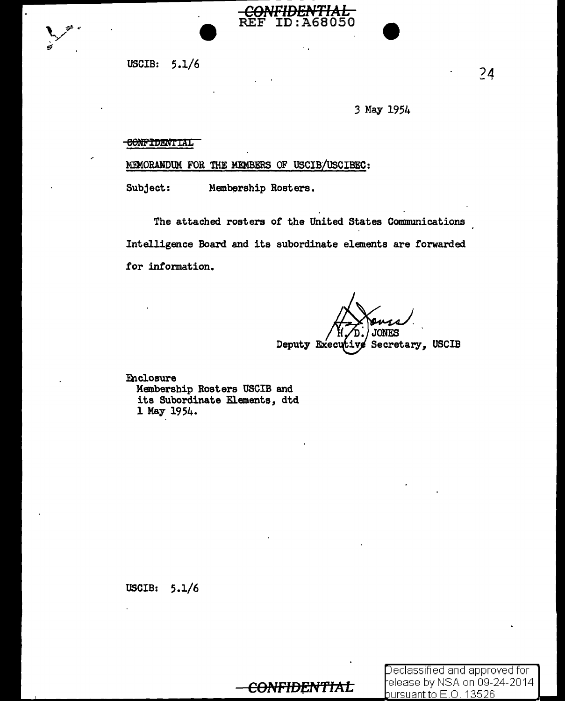

USCIB:  $5.1/6$ 

3 May 1954

<del>IAL</del>

68050

#### CONFIDENTIAL

MEMORANDUM FOR THE MEMBERS OF USCIB/USCIBEC:

**REF** 

**ID** 

Subject: Membership Rosters.

The attached rosters of the United States Communications Intelligence Board and its subordinate elements are forwarded for information.

**JONES** Secretary, USCIB Deputy Executi

Enclosure Membership Rosters USCIB and its Subordinate Elements, dtd 1 May 1954.

USCIB:  $5.1/6$ 

## <del>CONFIDENTIAL</del>

Declassified and approved for elease by NSA on 09-24-2014 pursuant to E.O. 13526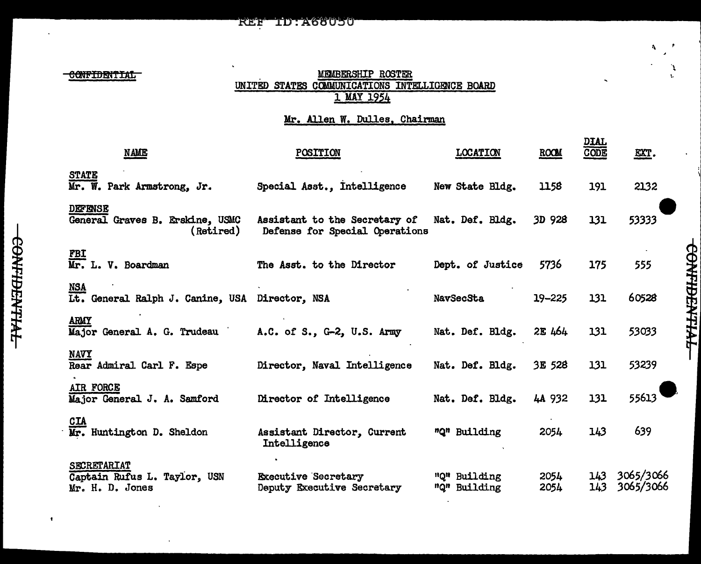#### **REF ID: A68050**

CONFIDENTIAL

#### MPNBERSHIP ROSTER UNITED STATES COMMUNICATIONS INTELLIGENCE BOARD 1 MAY 1954

### Mr. Allen W. Dulles, Chairman

| <b>NAME</b>                                                    | POSITION                                                        | <b>LOCATION</b>              | ROOM         | <u>DIAL</u><br>CODE | EXT.                   |
|----------------------------------------------------------------|-----------------------------------------------------------------|------------------------------|--------------|---------------------|------------------------|
| <b>STATE</b><br>Mr. W. Park Armstrong, Jr.                     | Special Asst., Intelligence                                     | New State Bldg.              | 1158         | 191                 | 2132                   |
| <b>DEFENSE</b><br>General Graves B. Erskine, USMC<br>(Retired) | Assistant to the Secretary of<br>Defense for Special Operations | Nat. Def. Bldg.              | 3D 928       | 131                 | 53333                  |
| FBI<br>Mr. L. V. Boardman                                      | The Asst. to the Director                                       | Dept. of Justice             | 5736         | 175                 | 555                    |
| NSA Lt. General Ralph J. Canine, USA Director, NSA             |                                                                 | NavSecSta                    | 19-225       | 131                 | 60528                  |
| ARMY<br>Major General A. G. Trudeau                            | A.C. of S., G-2, U.S. Army                                      | Nat. Def. Bldg.              | 2E 464       | 131                 | 53033                  |
| <b>NAVY</b><br>Rear Admiral Carl F. Espe                       | Director, Naval Intelligence                                    | Nat. Def. Bldg.              | 3E 528       | 131                 | 53239                  |
| AIR FORCE<br>Major General J. A. Samford                       | Director of Intelligence                                        | Nat. Def. Bldg.              | 4A 932       | 131                 | 55613                  |
| CIA<br>Mr. Huntington D. Sheldon                               | Assistant Director, Current<br>Intelligence                     | "Q" Building                 | 2054         | 143                 | 639                    |
| SECRETARIAT<br>Captain Rufus L. Taylor, USN<br>Mr. H. D. Jones | <b>Executive Secretary</b><br>Deputy Executive Secretary        | "Q" Building<br>"Q" Building | 2054<br>2054 | 143<br>143          | 3065/3066<br>3065/3066 |

 $\bullet$ 

**ТУНАКНИННО-**

t.

٦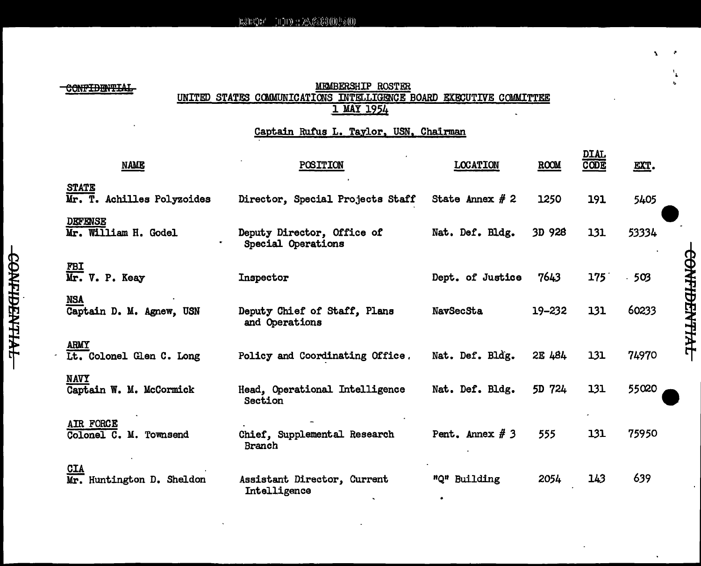CONFIDENTIAL

#### MEMBERSHIP ROSTER UNITED STATES COMMUNICATIONS INTELLIGENCE BOARD EXECUTIVE COMMITTEE 1 MAY 1954

### Captain Rufus L. Taylor, USN, Chairman

| <b>NAME</b>                                | POSITION                                         | <b>LOCATION</b>   | ROOM   | <u>DIAL</u><br>CODE | EXT.  |
|--------------------------------------------|--------------------------------------------------|-------------------|--------|---------------------|-------|
| <b>STATE</b><br>Mr. T. Achilles Polyzoides | Director, Special Projects Staff                 | State Annex $# 2$ | 1250   | 191                 | 5405  |
| <b>DEFENSE</b><br>Mr. William H. Godel     | Deputy Director, Office of<br>Special Operations | Nat. Def. Bldg.   | 3D 928 | 131                 | 53334 |
| $\frac{FBI}{Mr.}$ V. P. Keay               | Inspector                                        | Dept. of Justice  | 7643   | 175                 | 503   |
| <b>NSA</b><br>Captain D. M. Agnew, USN     | Deputy Chief of Staff, Plans<br>and Operations   | <b>NavSecSta</b>  | 19-232 | 131                 | 60233 |
| ARMY<br>Lt. Colonel Glen C. Long           | Policy and Coordinating Office.                  | Nat. Def. Bldg.   | 2E 484 | 131                 | 74970 |
| <b>NAVY</b><br>Captain W. M. McCormick     | Head, Operational Intelligence<br>Section        | Nat. Def. Bldg.   | 5D 724 | 131                 | 55020 |
| AIR FORCE<br>Colonel C. M. Townsend        | Chief, Supplemental Research<br>Branch           | Pent. Annex $# 3$ | 555    | 131                 | 75950 |
| <b>CIA</b><br>Huntington D. Sheldon<br>Mr. | Assistant Director, Current<br>Intelligence      | "Q" Building      | 2054   | 143                 | 639   |

**CONFIDENTIAL** 

 $\cdot$ 

'•

۱.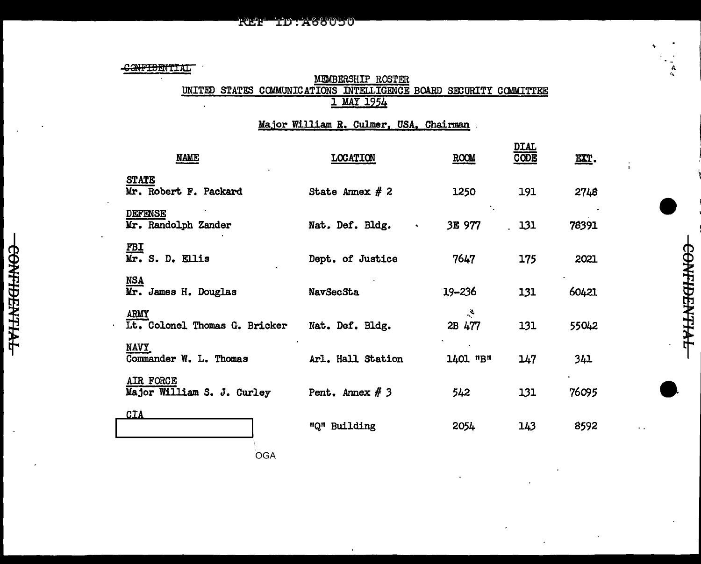CONFIDENTIAL

# MEMBERSHIP ROSTER<br>UNITED STATES COMMUNICATIONS INTELLIGENCE BOARD SECURITY COMMITTEE 1 MAY 1954

A.

CONTIDENTIAL

Major William R. Culmer, USA, Chairman

| <b>NAME</b>                                  | <b>LOCATION</b>   | ROOM                    | <b>DIAL</b><br><b>CODE</b> | $\underline{\mathtt{EXT}}$ . |
|----------------------------------------------|-------------------|-------------------------|----------------------------|------------------------------|
| <b>STATE</b><br>Mr. Robert F. Packard        | State Annex $# 2$ | 1250                    | 191                        | 2748                         |
| <b>DEFENSE</b><br>Mr. Randolph Zander        | Nat. Def. Bldg.   | 3E 977                  | . 131                      | 78391                        |
| <u>FBI</u><br>Mr. S. D. Ellis                | Dept. of Justice  | 7647                    | 175                        | 2021                         |
| <u>NSA</u><br>Mr. James H. Douglas           | NavSecSta         | 19-236                  | 131                        | 60421                        |
| <b>ARMY</b><br>Lt. Colonel Thomas G. Bricker | Nat. Def. Bldg.   | $\mathcal{L}$<br>2B 477 | 131                        | 55042                        |
| NAVY_<br>Commander W. L. Thomas              | Arl. Hall Station | 1401 "В"                | 147                        | 341                          |
| AIR FORCE<br>Major William S. J. Curley      | Pent. Annex $# 3$ | 542                     | 131                        | 76095                        |
| CIA                                          | "Q" Building      | 2054                    | 143                        | 8592                         |
|                                              |                   |                         |                            |                              |

OGA